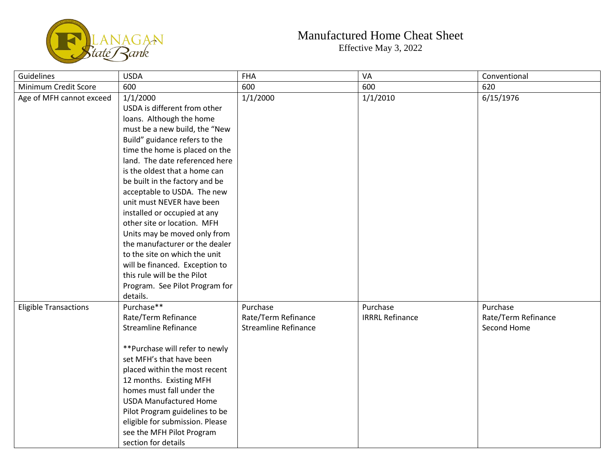

## Manufactured Home Cheat Sheet Effective May 3, 2022

| Guidelines                   | <b>USDA</b>                     | <b>FHA</b>                  | VA                     | Conventional        |
|------------------------------|---------------------------------|-----------------------------|------------------------|---------------------|
| Minimum Credit Score         | 600                             | 600                         | 600                    | 620                 |
| Age of MFH cannot exceed     | 1/1/2000                        | 1/1/2000                    | 1/1/2010               | 6/15/1976           |
|                              | USDA is different from other    |                             |                        |                     |
|                              | loans. Although the home        |                             |                        |                     |
|                              | must be a new build, the "New   |                             |                        |                     |
|                              | Build" guidance refers to the   |                             |                        |                     |
|                              | time the home is placed on the  |                             |                        |                     |
|                              | land. The date referenced here  |                             |                        |                     |
|                              | is the oldest that a home can   |                             |                        |                     |
|                              | be built in the factory and be  |                             |                        |                     |
|                              | acceptable to USDA. The new     |                             |                        |                     |
|                              | unit must NEVER have been       |                             |                        |                     |
|                              | installed or occupied at any    |                             |                        |                     |
|                              | other site or location. MFH     |                             |                        |                     |
|                              | Units may be moved only from    |                             |                        |                     |
|                              | the manufacturer or the dealer  |                             |                        |                     |
|                              | to the site on which the unit   |                             |                        |                     |
|                              | will be financed. Exception to  |                             |                        |                     |
|                              | this rule will be the Pilot     |                             |                        |                     |
|                              | Program. See Pilot Program for  |                             |                        |                     |
|                              | details.                        |                             |                        |                     |
| <b>Eligible Transactions</b> | Purchase**                      | Purchase                    | Purchase               | Purchase            |
|                              | Rate/Term Refinance             | Rate/Term Refinance         | <b>IRRRL Refinance</b> | Rate/Term Refinance |
|                              | <b>Streamline Refinance</b>     | <b>Streamline Refinance</b> |                        | Second Home         |
|                              |                                 |                             |                        |                     |
|                              | **Purchase will refer to newly  |                             |                        |                     |
|                              | set MFH's that have been        |                             |                        |                     |
|                              | placed within the most recent   |                             |                        |                     |
|                              | 12 months. Existing MFH         |                             |                        |                     |
|                              | homes must fall under the       |                             |                        |                     |
|                              | <b>USDA Manufactured Home</b>   |                             |                        |                     |
|                              | Pilot Program guidelines to be  |                             |                        |                     |
|                              | eligible for submission. Please |                             |                        |                     |
|                              | see the MFH Pilot Program       |                             |                        |                     |
|                              | section for details             |                             |                        |                     |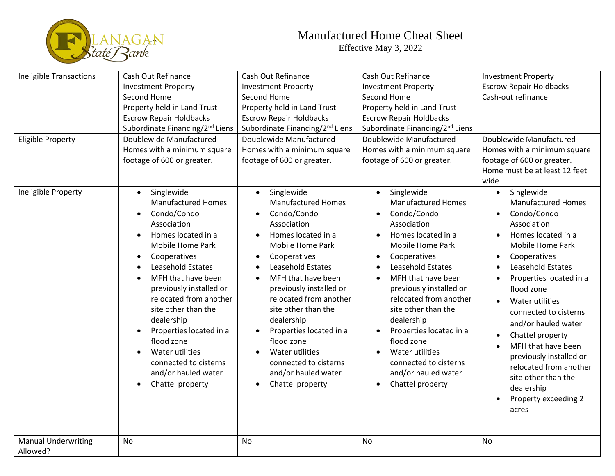

## Manufactured Home Cheat Sheet Effective May 3, 2022

| <b>Ineligible Transactions</b><br><b>Eligible Property</b> | Cash Out Refinance<br><b>Investment Property</b><br>Second Home<br>Property held in Land Trust<br><b>Escrow Repair Holdbacks</b><br>Subordinate Financing/2 <sup>nd</sup> Liens<br>Doublewide Manufactured<br>Homes with a minimum square<br>footage of 600 or greater.                                                                                                                                           | Cash Out Refinance<br><b>Investment Property</b><br>Second Home<br>Property held in Land Trust<br><b>Escrow Repair Holdbacks</b><br>Subordinate Financing/2 <sup>nd</sup> Liens<br>Doublewide Manufactured<br>Homes with a minimum square<br>footage of 600 or greater.                                                                                                                                                        | Cash Out Refinance<br><b>Investment Property</b><br>Second Home<br>Property held in Land Trust<br><b>Escrow Repair Holdbacks</b><br>Subordinate Financing/2 <sup>nd</sup> Liens<br>Doublewide Manufactured<br>Homes with a minimum square<br>footage of 600 or greater.                                                                                                                                                               | <b>Investment Property</b><br><b>Escrow Repair Holdbacks</b><br>Cash-out refinance<br>Doublewide Manufactured<br>Homes with a minimum square<br>footage of 600 or greater.<br>Home must be at least 12 feet<br>wide                                                                                                                                                                                                                                |
|------------------------------------------------------------|-------------------------------------------------------------------------------------------------------------------------------------------------------------------------------------------------------------------------------------------------------------------------------------------------------------------------------------------------------------------------------------------------------------------|--------------------------------------------------------------------------------------------------------------------------------------------------------------------------------------------------------------------------------------------------------------------------------------------------------------------------------------------------------------------------------------------------------------------------------|---------------------------------------------------------------------------------------------------------------------------------------------------------------------------------------------------------------------------------------------------------------------------------------------------------------------------------------------------------------------------------------------------------------------------------------|----------------------------------------------------------------------------------------------------------------------------------------------------------------------------------------------------------------------------------------------------------------------------------------------------------------------------------------------------------------------------------------------------------------------------------------------------|
| Ineligible Property                                        | Singlewide<br>$\bullet$<br><b>Manufactured Homes</b><br>Condo/Condo<br>Association<br>Homes located in a<br>Mobile Home Park<br>Cooperatives<br>Leasehold Estates<br>MFH that have been<br>previously installed or<br>relocated from another<br>site other than the<br>dealership<br>Properties located in a<br>flood zone<br>Water utilities<br>connected to cisterns<br>and/or hauled water<br>Chattel property | Singlewide<br>$\bullet$<br><b>Manufactured Homes</b><br>Condo/Condo<br>$\bullet$<br>Association<br>Homes located in a<br>Mobile Home Park<br>Cooperatives<br>Leasehold Estates<br>MFH that have been<br>previously installed or<br>relocated from another<br>site other than the<br>dealership<br>Properties located in a<br>flood zone<br>Water utilities<br>connected to cisterns<br>and/or hauled water<br>Chattel property | Singlewide<br>$\bullet$<br><b>Manufactured Homes</b><br>Condo/Condo<br>$\bullet$<br>Association<br>Homes located in a<br>Mobile Home Park<br>Cooperatives<br>Leasehold Estates<br>MFH that have been<br>previously installed or<br>relocated from another<br>site other than the<br>dealership<br>Properties located in a<br>flood zone<br><b>Water utilities</b><br>connected to cisterns<br>and/or hauled water<br>Chattel property | Singlewide<br>$\bullet$<br><b>Manufactured Homes</b><br>Condo/Condo<br>Association<br>Homes located in a<br>Mobile Home Park<br>Cooperatives<br>Leasehold Estates<br>Properties located in a<br>flood zone<br>Water utilities<br>connected to cisterns<br>and/or hauled water<br>Chattel property<br>MFH that have been<br>previously installed or<br>relocated from another<br>site other than the<br>dealership<br>Property exceeding 2<br>acres |
| <b>Manual Underwriting</b><br>Allowed?                     | <b>No</b>                                                                                                                                                                                                                                                                                                                                                                                                         | <b>No</b>                                                                                                                                                                                                                                                                                                                                                                                                                      | <b>No</b>                                                                                                                                                                                                                                                                                                                                                                                                                             | <b>No</b>                                                                                                                                                                                                                                                                                                                                                                                                                                          |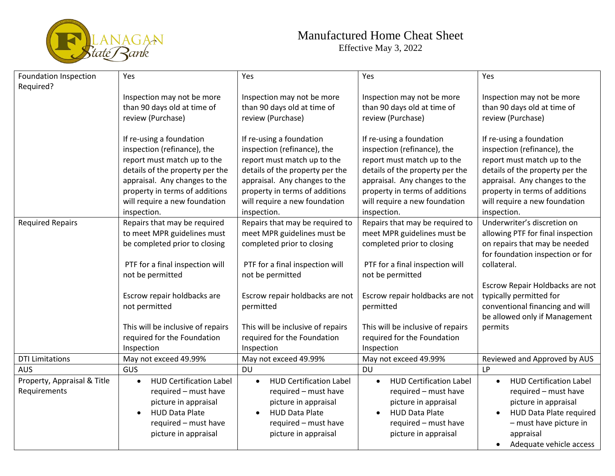

## Manufactured Home Cheat Sheet Effective May 3, 2022

| Foundation Inspection       | Yes                                         | Yes                                         | Yes                                         | Yes                               |
|-----------------------------|---------------------------------------------|---------------------------------------------|---------------------------------------------|-----------------------------------|
| Required?                   |                                             |                                             |                                             |                                   |
|                             | Inspection may not be more                  | Inspection may not be more                  | Inspection may not be more                  | Inspection may not be more        |
|                             | than 90 days old at time of                 | than 90 days old at time of                 | than 90 days old at time of                 | than 90 days old at time of       |
|                             | review (Purchase)                           | review (Purchase)                           | review (Purchase)                           | review (Purchase)                 |
|                             |                                             |                                             |                                             |                                   |
|                             | If re-using a foundation                    | If re-using a foundation                    | If re-using a foundation                    | If re-using a foundation          |
|                             | inspection (refinance), the                 | inspection (refinance), the                 | inspection (refinance), the                 | inspection (refinance), the       |
|                             | report must match up to the                 | report must match up to the                 | report must match up to the                 | report must match up to the       |
|                             | details of the property per the             | details of the property per the             | details of the property per the             | details of the property per the   |
|                             | appraisal. Any changes to the               | appraisal. Any changes to the               | appraisal. Any changes to the               | appraisal. Any changes to the     |
|                             | property in terms of additions              | property in terms of additions              | property in terms of additions              | property in terms of additions    |
|                             | will require a new foundation               | will require a new foundation               | will require a new foundation               | will require a new foundation     |
|                             | inspection.                                 | inspection.                                 | inspection.                                 | inspection.                       |
| <b>Required Repairs</b>     | Repairs that may be required                | Repairs that may be required to             | Repairs that may be required to             | Underwriter's discretion on       |
|                             | to meet MPR guidelines must                 | meet MPR guidelines must be                 | meet MPR guidelines must be                 | allowing PTF for final inspection |
|                             | be completed prior to closing               | completed prior to closing                  | completed prior to closing                  | on repairs that may be needed     |
|                             |                                             |                                             |                                             | for foundation inspection or for  |
|                             | PTF for a final inspection will             | PTF for a final inspection will             | PTF for a final inspection will             | collateral.                       |
|                             | not be permitted                            | not be permitted                            | not be permitted                            |                                   |
|                             |                                             |                                             |                                             | Escrow Repair Holdbacks are not   |
|                             | Escrow repair holdbacks are                 | Escrow repair holdbacks are not             | Escrow repair holdbacks are not             | typically permitted for           |
|                             | not permitted                               | permitted                                   | permitted                                   | conventional financing and will   |
|                             |                                             |                                             |                                             | be allowed only if Management     |
|                             | This will be inclusive of repairs           | This will be inclusive of repairs           | This will be inclusive of repairs           | permits                           |
|                             | required for the Foundation                 | required for the Foundation                 | required for the Foundation                 |                                   |
|                             | Inspection                                  | Inspection                                  | Inspection                                  |                                   |
| <b>DTI Limitations</b>      | May not exceed 49.99%                       | May not exceed 49.99%                       | May not exceed 49.99%                       | Reviewed and Approved by AUS      |
| <b>AUS</b>                  | GUS                                         | <b>DU</b>                                   | <b>DU</b>                                   | <b>LP</b>                         |
| Property, Appraisal & Title | <b>HUD Certification Label</b><br>$\bullet$ | <b>HUD Certification Label</b><br>$\bullet$ | <b>HUD Certification Label</b><br>$\bullet$ | <b>HUD Certification Label</b>    |
| Requirements                | required - must have                        | required - must have                        | required - must have                        | required - must have              |
|                             | picture in appraisal                        | picture in appraisal                        | picture in appraisal                        | picture in appraisal              |
|                             | <b>HUD Data Plate</b>                       | <b>HUD Data Plate</b><br>$\bullet$          | <b>HUD Data Plate</b><br>$\bullet$          | HUD Data Plate required           |
|                             | required - must have                        | required - must have                        | required - must have                        | - must have picture in            |
|                             | picture in appraisal                        | picture in appraisal                        | picture in appraisal                        | appraisal                         |
|                             |                                             |                                             |                                             | Adequate vehicle access           |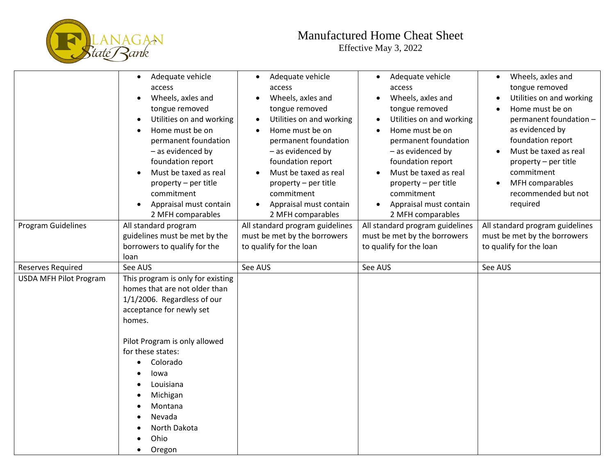

## Manufactured Home Cheat Sheet

Effective May 3, 2022

|                               | Adequate vehicle<br>access<br>Wheels, axles and<br>tongue removed<br>Utilities on and working<br>Home must be on<br>permanent foundation<br>- as evidenced by<br>foundation report<br>Must be taxed as real<br>property - per title<br>commitment<br>Appraisal must contain<br>2 MFH comparables  | Adequate vehicle<br>access<br>Wheels, axles and<br>tongue removed<br>Utilities on and working<br>$\bullet$<br>Home must be on<br>permanent foundation<br>- as evidenced by<br>foundation report<br>Must be taxed as real<br>property - per title<br>commitment<br>Appraisal must contain<br>2 MFH comparables | Adequate vehicle<br>access<br>Wheels, axles and<br>tongue removed<br>Utilities on and working<br>Home must be on<br>permanent foundation<br>- as evidenced by<br>foundation report<br>Must be taxed as real<br>property - per title<br>commitment<br>Appraisal must contain<br>2 MFH comparables | Wheels, axles and<br>$\bullet$<br>tongue removed<br>Utilities on and working<br>$\bullet$<br>Home must be on<br>permanent foundation -<br>as evidenced by<br>foundation report<br>Must be taxed as real<br>property - per title<br>commitment<br>MFH comparables<br>recommended but not<br>required |
|-------------------------------|---------------------------------------------------------------------------------------------------------------------------------------------------------------------------------------------------------------------------------------------------------------------------------------------------|---------------------------------------------------------------------------------------------------------------------------------------------------------------------------------------------------------------------------------------------------------------------------------------------------------------|--------------------------------------------------------------------------------------------------------------------------------------------------------------------------------------------------------------------------------------------------------------------------------------------------|-----------------------------------------------------------------------------------------------------------------------------------------------------------------------------------------------------------------------------------------------------------------------------------------------------|
| <b>Program Guidelines</b>     | All standard program<br>guidelines must be met by the<br>borrowers to qualify for the<br>loan                                                                                                                                                                                                     | All standard program guidelines<br>must be met by the borrowers<br>to qualify for the loan                                                                                                                                                                                                                    | All standard program guidelines<br>must be met by the borrowers<br>to qualify for the loan                                                                                                                                                                                                       | All standard program guidelines<br>must be met by the borrowers<br>to qualify for the loan                                                                                                                                                                                                          |
| <b>Reserves Required</b>      | See AUS                                                                                                                                                                                                                                                                                           | See AUS                                                                                                                                                                                                                                                                                                       | See AUS                                                                                                                                                                                                                                                                                          | See AUS                                                                                                                                                                                                                                                                                             |
| <b>USDA MFH Pilot Program</b> | This program is only for existing<br>homes that are not older than<br>1/1/2006. Regardless of our<br>acceptance for newly set<br>homes.<br>Pilot Program is only allowed<br>for these states:<br>Colorado<br>Iowa<br>Louisiana<br>Michigan<br>Montana<br>Nevada<br>North Dakota<br>Ohio<br>Oregon |                                                                                                                                                                                                                                                                                                               |                                                                                                                                                                                                                                                                                                  |                                                                                                                                                                                                                                                                                                     |